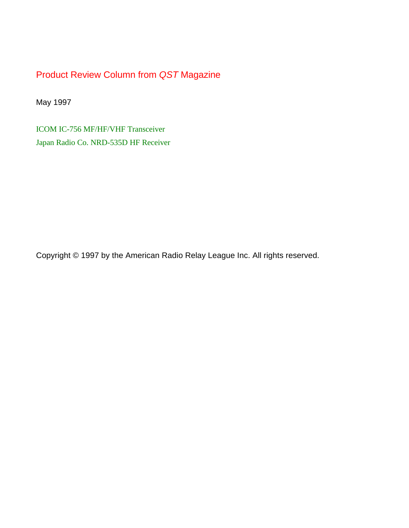Product Review Column from *QST* Magazine

May 1997

[ICOM IC-756 MF/HF/VHF Transceiver](#page-1-0) [Japan Radio Co. NRD-535D HF Receiver](#page-6-0)

Copyright © 1997 by the American Radio Relay League Inc. All rights reserved.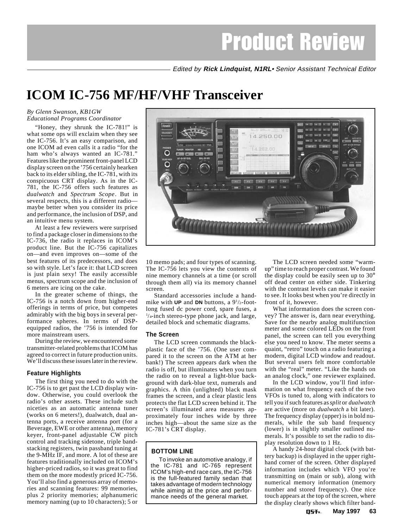Edited by **Rick Lindquist, N1RL**• Senior Assistant Technical Editor

# <span id="page-1-0"></span>**ICOM IC-756 MF/HF/VHF Transceiver**

## *By Glenn Swanson, KB1GW Educational Programs Coordinator*

"Honey, they shrunk the IC-781!" is what some ops will exclaim when they see the IC-756. It's an easy comparison, and one ICOM ad even calls it a radio "for the ham who's always wanted an IC-781." Features like the prominent front-panel LCD display screen on the '756 certainly hearken back to its elder sibling, the IC-781, with its conspicuous CRT display. As in the IC-781, the IC-756 offers such features as *dualwatch* and *Spectrum Scope*. But in several respects, this is a different radio maybe better when you consider its price and performance, the inclusion of DSP, and an intuitive menu system.

At least a few reviewers were surprised to find a package closer in dimensions to the IC-736, the radio it replaces in ICOM's product line. But the IC-756 capitalizes on—and even improves on—some of the best features of its predecessors, and does so with style. Let's face it: that LCD screen is just plain sexy! The easily accessible menus, spectrum scope and the inclusion of 6 meters are icing on the cake.

In the greater scheme of things, the IC-756 is a notch down from higher-end offerings in terms of price, but competes admirably with the big boys in several performance spheres. In terms of DSPequipped radios, the '756 is intended for more mainstream users.

During the review, we encountered some transmitter-related problems that ICOM has agreed to correct in future production units. We'll discuss these issues later in the review.

## **Feature Highlights**

The first thing you need to do with the IC-756 is to get past the LCD display window. Otherwise, you could overlook the radio's other assets. These include such niceties as an automatic antenna tuner (works on 6 meters!), dualwatch, dual antenna ports, a receive antenna port (for a Beverage, EWE or other antenna), memory keyer, front-panel adjustable CW pitch control and tracking sidetone, triple bandstacking registers, twin passband tuning at the 9-MHz IF, and more. A lot of these are features traditionally included on ICOM's higher-priced radios, so it was great to find them on the more modestly priced IC-756. You'll also find a generous array of memories and scanning features: 99 memories, plus 2 priority memories; alphanumeric memory naming (up to 10 characters); 5 or



10 memo pads; and four types of scanning. The IC-756 lets you view the contents of nine memory channels at a time (or scroll through them all) via its memory channel screen.

Standard accessories include a handmike with **UP** and **DN** buttons, a  $9^{1}/_{2}$ -footlong fused dc power cord, spare fuses, a 1 /4-inch stereo-type phone jack, and large, detailed block and schematic diagrams.

## **The Screen**

The LCD screen commands the blackplastic face of the '756. (One user compared it to the screen on the ATM at her bank!) The screen appears dark when the radio is off, but illuminates when you turn the radio on to reveal a light-blue background with dark-blue text, numerals and graphics. A thin (unlighted) black mask frames the screen, and a clear plastic lens protects the flat LCD screen behind it. The screen's illuminated area measures approximately four inches wide by three inches high—about the same size as the IC-781's CRT display.

## **BOTTOM LINE**

To invoke an automotive analogy, if the IC-781 and IC-765 represent ICOM's high-end race cars, the IC-756 is the full-featured family sedan that takes advantage of modern technology while aiming at the price and performance needs of the general market.

The LCD screen needed some "warmup" time to reach proper contrast. We found the display could be easily seen up to 30° off dead center on either side. Tinkering with the contrast levels can make it easier to see. It looks best when you're directly in front of it, however.

What information does the screen convey? The answer is, darn near everything. Save for the nearby analog multifunction meter and some colored LEDs on the front panel, the screen can tell you everything else you need to know. The meter seems a quaint, "retro" touch on a radio featuring a modern, digital LCD window and readout. But several users felt more comfortable with the "real" meter. "Like the hands on an analog clock," one reviewer explained.

In the LCD window, you'll find information on what frequency each of the two VFOs is tuned to, along with indicators to tell you if such features as *split* or *dualwatch* are active (more on *dualwatch* a bit later). The frequency display (upper) is in bold numerals, while the sub band frequency (lower) is in slightly smaller outlined numerals. It's possible to set the radio to display resolution down to 1 Hz.

A handy 24-hour digital clock (with battery backup) is displayed in the upper righthand corner of the screen. Other displayed information includes which VFO you're transmitting on (main or sub), along with numerical memory information (memory number and stored frequency). One nice touch appears at the top of the screen, where the display clearly shows which filter band-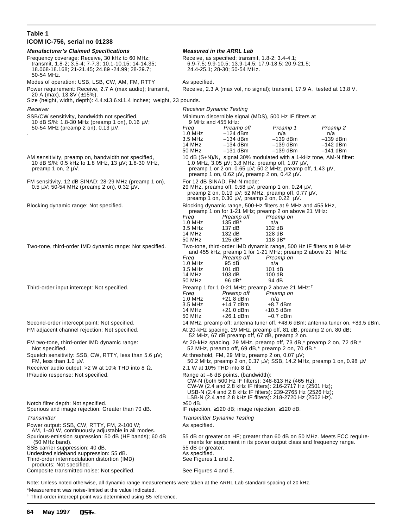#### **Table 1 ICOM IC-756, serial no 01238 Manufacturer's Claimed Specifications Measured in the ARRL Lab** Frequency coverage: Receive, 30 kHz to 60 MHz;<br>
transmit, 1.8-2; 3.5-4; 7-7.3; 10.1-10.15; 14-14.35;<br>
18.068-18.168; 21-21.45; 24.89 -24.99; 28-29.7;<br>
24.4-25.1; 28-30; 50-54 MHz. transmit, 1.8-2; 3.5-4; 7-7.3; 10.1-10.15; 14-14.35; 6.9-7.5; 9.9-10.5; 13.9-14.5; 17.9-18.5; 20.9-21.5; 18.068-18.168; 21-21.45; 24.89 -24.99; 28-29.7; 24.4-25.1; 28-30; 50-54 MHz. 50-54 MHz. Modes of operation: USB, LSB, CW, AM, FM, RTTY As specified. Power requirement: Receive, 2.7 A (max audio); transmit, Receive, 2.3 A (max vol, no signal); transmit, 17.9 A, tested at 13.8 V. 20 A (max), 13.8V (±15%). Size (height, width, depth): 4.4×13.6×11.4 inches; weight, 23 pounds. Receiver **Receiver Receiver Receiver Receiver Dynamic Testing** SSB/CW sensitivity, bandwidth not specified, Minimum discernible signal (MDS), 500 Hz IF filters at 10 dB S/N: 1.8-30 MHz (preamp 1 on), 0.16  $\mu$ V;<br>
50-54 MHz (preamp 2 on), 0.13  $\mu$ V.<br> *Freq* Preamp off 50-54 MHz (preamp 2 on),  $0.13 \mu$ V. Freq Preamp off Preamp 1 Preamp 2<br>50-54 MHz  $-124 \text{ dBm}$  n/a n/a . 1.0 MHz –124 dBm n/a n/a 3.5 MHz –134 dBm –139 dBm –139 dBm  $-139$  dBm 50 MHz –131 dBm –139 dBm –141 dBm AM sensitivity, preamp on, bandwidth not specified, 10 dB (S+N)/N, signal 30% modulated with a 1-kHz tone, AM-N filter: 10 dB S/N: 0.5 kHz to 1.8 MHz, 13  $\mu$ V; 1.8-30 MHz, preamp 1 on, 2  $\mu$ V. 1.0 MHz,  $3.05 \mu V$ ; 3.8 MHz, preamp off, 1.07  $\mu V$ , preamp 1 or 2 on, 0.65  $\mu V$ ; 50.2 MHz, preamp off, 1.43  $\mu V$ , preamp 1 on, 0.62  $\mu$ V, preamp 2 on, 0.42  $\mu$ V. FM sensitivity, 12 dB SINAD: 28-29 MHz (preamp 1 on), For 12 dB SINAD, FM-N mode:<br>0.5  $\mu$ V; 50-54 MHz (preamp 2 on), 0.32  $\mu$ V.<br>29 MHz, preamp off, 0.58  $\mu$ V, p 29 MHz, preamp off, 0.58  $\mu$ V, preamp 1 on, 0.24  $\mu$ V, preamp 2 on, 0.19  $\mu$ V; 52 MHz, preamp off, 0.77  $\mu$ V, preamp 1 on, 0.30  $\mu$ V, preamp 2 on, 0.22  $\mu$ V. Blocking dynamic range: Not specified. Blocking dynamic range, 500-Hz filters at 9 MHz and 455 kHz, preamp 1 on for 1-21 MHz; preamp 2 on above 21 MHz:<br>Freq Preamp off Preamp on Preamp off Preamp on<br>135 dB\* n/a 1.0  $MHz$  135 dB<sup>\*</sup> n/a 3.5 MHz 137 dB 132 dB 132 dB 128 dB<br>125 dB\* 118 dB\* 50 MHz Two-tone, third-order IMD dynamic range: Not specified. Two-tone, third-order IMD dynamic range, 500 Hz IF filters at 9 MHz and 455 kHz, preamp 1 for 1-21 MHz; preamp 2 above 21 MHz: Freq Preamp off Preamp on 1.0 MHz 95 dB n/a 3.5 MHz 101 dB 101 dB 14 MHz 103 dB 100 dB<br>50 MHz 96 dB\* 94 dB 50 MHz 96 dB\* Third-order input intercept: Not specified. Preamp 1 for 1.0-21 MHz; preamp 2 above 21 MHz:<sup>†</sup> Freq Preamp off Preamp on<br>1.0 MHz +21.8 dBm n/a 1.0 MHz +21.8 dBm n/a  $+14.7$  dBm 14 MHz +21.0 dBm +10.5 dBm 50 MHz +26.1 dBm –0.7 dBm Second-order intercept point: Not specified. 14 MHz, preamp off: antenna tuner off, +48.6 dBm; antenna tuner on, +83.5 dBm. FM adjacent channel rejection: Not specified.  $\blacksquare$  At 20-kHz spacing, 29 MHz, preamp off, 81 dB, preamp 2 on, 80 dB; 52 MHz, 67 dB preamp off, 67 dB, preamp 2 on. FM two-tone, third-order IMD dynamic range:  $At$  20-kHz spacing, 29 MHz, preamp off, 73 dB,\* preamp 2 on, 72 dB;\* Not specified.<br>\* 52 MHz, preamp off, 69 dB,\* preamp 2 on, 70 dB.\* 52 MHz, preamp off, 69 dB,\* preamp 2 on, 70 dB.\* Squelch sensitivity: SSB, CW, RTTY, less than 5.6  $\mu$ V; At threshold, FM, 29 MHz, preamp 2 on, 0.07  $\mu$ V; SSB, 14.2 MH<br>50.2 MHz, preamp 2 on, 0.37  $\mu$ V; SSB, 14.2 MH 50.2 MHz, preamp 2 on, 0.37 μV; SSB, 14.2 MHz, preamp 1 on, 0.98 μV Receiver audio output: >2 W at 10% THD into 8  $\Omega$ . 2.1 W at 10% THD into 8  $\Omega$ . IF/audio response: Not specified. Range at –6 dB points, (bandwidth): CW-N (both 500 Hz IF filters): 348-813 Hz (465 Hz); CW-W (2.4 and 2.8 kHz IF filters): 216-2717 Hz (2501 Hz); USB-N (2.4 and 2.8 kHz IF filters): 239-2765 Hz (2526 Hz); LSB-N (2.4 and 2.8 kHz IF filters): 218-2720 Hz (2502 Hz). Notch filter depth: Not specified.<br>
Spurious and image rejection: Greater than 70 dB. <br>
IF rejection, ≥120 dB, image rejection, ≥120 dB. Spurious and image rejection: Greater than 70 dB. Transmitter Transmitter Transmitter Dynamic Testing Power output: SSB, CW, RTTY, FM, 2-100 W; As specified. AM, 1-40 W, continuously adjustable in all modes.<br>Spurious-emission supression: 50 dB (HF bands); 60 dB ourious-emission supression: 50 dB (HF bands); 60 dB 55 dB or greater on HF; greater than 60 dB on 50 MHz. Meets FCC require-<br>60 MHz band). ments for equipment in its power output class and frequency range. ments for equipment in its power output class and frequency range. SSB carrier suppression: 40 dB. 55 dB or greater. Undesired sideband suppression: 55 dB. As specified.<br>
Third-order intermodulation distortion (IMD) See Figures 1 and 2. Third-order intermodulation distortion (IMD) products: Not specified. Composite transmitted noise: Not specified. See Figures 4 and 5.

Note: Unless noted otherwise, all dynamic range measurements were taken at the ARRL Lab standard spacing of 20 kHz. \*Measurement was noise-limited at the value indicated.

† Third-order intercept point was determined using S5 reference.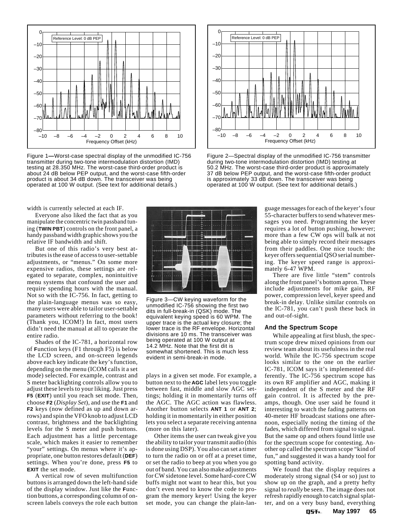

Figure 1**—**Worst-case spectral display of the unmodified IC-756 transmitter during two-tone intermodulation distortion (IMD) testing at 28.350 MHz. The worst-case third-order product is about 24 dB below PEP output, and the worst-case fifth-order product is about 34 dB down. The transceiver was being operated at 100 W output. (See text for additional details.)



Figure 2—Spectral display of the unmodified IC-756 transmitter during two-tone intermodulation distortion (IMD) testing at 50.2 MHz. The worst-case third-order product is approximately 37 dB below PEP output, and the worst-case fifth-order product is approximately 33 dB down. The transceiver was being operated at 100 W output. (See text for additional details.)

width is currently selected at each IF.

Everyone also liked the fact that as you manipulate the concentric twin passband tuning (**TWIN PBT**) controls on the front panel, a handy passband width graphic shows you the relative IF bandwidth and shift.

But one of this radio's very best attributes is the ease of access to user-settable adjustments, or "menus." On some more expensive radios, these settings are relegated to separate, complex, nonintuitive menu systems that confound the user and require spending hours with the manual. Not so with the IC-756. In fact, getting to the plain-language menus was so easy, many users were able to tailor user-settable parameters without referring to the book! (Thank you, ICOM!) In fact, most users didn't need the manual at all to operate the entire radio.

Shades of the IC-781, a horizontal row of **F**unction keys (F1 through F5) is below the LCD screen, and on-screen legends above each key indicate the key's function, depending on the menu (ICOM calls it a set mode) selected. For example, contrast and S meter backlighting controls allow you to adjust these levels to your liking. Just press **F5** (**EXIT**) until you reach set mode. Then, choose **F2** (*Display Set*), and use the **F1** and **F2** keys (now defined as up and down arrows) and spin the VFO knob to adjust LCD contrast, brightness and the backlighting levels for the S meter and push buttons. Each adjustment has a little percentage scale, which makes it easier to remember "your" settings. On menus where it's appropriate, one button restores default (**DEF**) settings. When you're done, press **F5** to **EXIT** the set mode.

A vertical row of seven multifunction buttons is arranged down the left-hand side of the display window. Just like the **F**unction buttons, a corresponding column of onscreen labels conveys the role each button



Figure 3—CW keying waveform for the unmodified IC-756 showing the first two dits in full-break-in (QSK) mode. The equivalent keying speed is 60 WPM. The upper trace is the actual key closure; the lower trace is the RF envelope. Horizontal divisions are 10 ms. The transceiver was being operated at 100 W output at 14.2 MHz. Note that the first dit is somewhat shortened. This is much less evident in semi-break-in mode.

plays in a given set mode. For example, a button next to the **AGC** label lets you toggle between fast, middle and slow AGC settings; holding it in momentarily turns off the AGC. The AGC action was flawless. Another button selects **ANT 1** or **ANT 2**; holding it in momentarily in either position lets you select a separate receiving antenna (more on this later).

Other items the user can tweak give you the ability to tailor your transmit audio (this is done using DSP). You also can set a timer to turn the radio on or off at a preset time, or set the radio to beep at you when you go out of band. You can also make adjustments for CW sidetone level. Some hard-core CW buffs might not want to hear this, but you don't even need to know the code to program the memory keyer! Using the keyer set mode, you can change the plain-language messages for each of the keyer's four 55-character buffers to send whatever messages you need. Programming the keyer requires a lot of button pushing, however; more than a few CW ops will balk at not being able to simply record their messages from their paddles. One nice touch: the keyer offers sequential QSO serial numbering. The keyer speed range is approximately 6-47 WPM.

There are five little "stem" controls along the front panel's bottom apron. These include adjustments for mike gain, RF power, compression level, keyer speed and break-in delay. Unlike similar controls on the IC-781, you can't push these back in and out-of-sight.

## **And the Spectrum Scope**

While appealing at first blush, the spectrum scope drew mixed opinions from our review team about its usefulness in the real world. While the IC-756 spectrum scope looks similar to the one on the earlier IC-781, ICOM says it's implemented differently. The IC-756 spectrum scope has its own RF amplifier and AGC, making it independent of the S meter and the RF gain control. It is affected by the preamps, though. One user said he found it interesting to watch the fading patterns on 40-meter HF broadcast stations one afternoon, especially noting the timing of the fades, which differed from signal to signal. But the same op and others found little use for the spectrum scope for contesting. Another op called the spectrum scope "kind of fun," and suggested it was a handy tool for spotting band activity.

We found that the display requires a moderately strong signal (S4 or so) just to show up on the graph, and a pretty hefty signal to *really* be seen. The image does not refresh rapidly enough to catch signal splatter, and on a very busy band, everything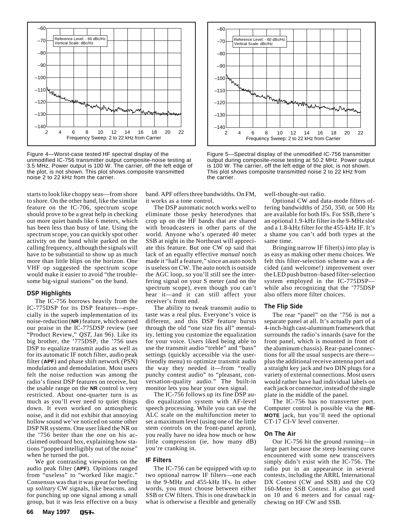

Figure 4—Worst-case tested HF spectral display of the unmodified IC-756 transmitter output composite-noise testing at 3.5 MHz. Power output is 100 W. The carrier, off the left edge of the plot, is not shown. This plot shows composite transmitted noise 2 to 22 kHz from the carrier.

starts to look like choppy seas—from shore to shore. On the other hand, like the similar feature on the IC-706, spectrum scope should prove to be a great help in checking out more quiet bands like 6 meters, which has been less than busy of late. Using the spectrum scope, you can quickly spot other activity on the band while parked on the calling frequency, although the signals will have to be substantial to show up as much more than little blips on the horizon. One VHF op suggested the spectrum scope would make it easier to avoid "the troublesome big-signal stations" on the band.

#### **DSP Highlights**

The IC-756 borrows heavily from the IC-775DSP for its DSP features—especially in the superb implementation of its noise-reduction (**NR**) feature, which earned our praise in the IC-775DSP review (see "Product Review," *QST*, Jan 96). Like its big brother, the '775DSP, the '756 uses DSP to equalize transmit audio as well as for its automatic IF notch filter, audio peak filter (**APF**) and phase shift network (PSN) modulation and demodulation. Most users felt the noise reduction was among the radio's finest DSP features on receive, but the usable range on the **NR** control is very restricted. About one-quarter turn is as much as you'll ever need to quiet things down. It even worked on atmospheric noise, and it did not exhibit that annoying hollow sound we've noticed on some other DSP NR systems. One user liked the NR on the '756 better than the one on his acclaimed outboard box, explaining how stations "popped intelligibly out of the noise" when he turned the pot.

We got contrasting viewpoints on the audio peak filter (**APF**). Opinions ranged from "useless" to "worked like magic." Consensus was that it was great for beefing up *solitary* CW signals, like beacons, and for punching up one signal among a small group, but it was less effective on a busy band. APF offers three bandwidths. On FM, it works as a tone control.

The DSP automatic notch works well to eliminate those pesky heterodynes that crop up on the HF bands that are shared with broadcasters in other parts of the world. Anyone who's operated 40 meter SSB at night in the Northeast will appreciate this feature. But one CW op said that lack of an equally effective *manual* notch made it "half a feature," since an auto notch is useless on CW. The auto notch is outside the AGC loop, so you'll still see the interfering signal on your S meter (and on the spectrum scope), even though you can't hear it—and it can still affect your receiver's front end.

The ability to tweak transmit audio to taste was a real plus. Everyone's voice is different, and this DSP feature bursts through the old "one size fits all" mentality, letting you customize the equalization for your voice. Users liked being able to use the transmit audio "treble" and "bass" settings (quickly accessible via the userfriendly menu) to optimize transmit audio the way they needed it—from "really punchy contest audio" to "pleasant, conversation-quality audio." The built-in monitor lets you hear your own signal.

The IC-756 follows up its fine DSP audio equalization system with AF-level speech processing. While you can use the ALC scale on the multifunction meter to set a maximum level (using one of the little stem controls on the front-panel apron), you really have no idea how much or how little compression (ie, how many dB) you're cranking in.

#### **IF Filters**

The IC-756 can be equipped with up to two optional narrow IF filters—one each in the 9-MHz and 455-kHz IFs. In other words, you must choose between either SSB or CW filters. This is one drawback in what is otherwise a flexible and generally



Figure 5—Spectral display of the unmodified IC-756 transmitter output during composite-noise testing at 50.2 MHz. Power output is 100 W. The carrier, off the left edge of the plot, is not shown. This plot shows composite transmitted noise 2 to 22 kHz from the carrier.

well-thought-out radio.

Optional CW and data-mode filters offering bandwidths of 250, 350, or 500 Hz are available for both IFs. For SSB, there's an optional 1.9-kHz filter in the 9-MHz slot and a 1.8-kHz filter for the 455-kHz IF. It's a shame you can't add both types at the same time.

Bringing narrow IF filter(s) into play is as easy as making other menu choices. We felt this filter-selection scheme was a decided (and welcome!) improvement over the LED push button–based filter-selection system employed in the IC-775DSP while also recognizing that the '775DSP also offers more filter choices.

#### **The Flip Side**

The rear "panel" on the '756 is not a separate panel at all. It's actually part of a 4-inch-high cast-aluminum framework that surrounds the radio's innards (save for the front panel, which is mounted in front of the aluminum chassis). Rear-panel connections for all the usual suspects are there plus the additional receive antenna port and a straight key jack and two DIN plugs for a variety of external connections. Most users would rather have had individual labels on each jack or connector, instead of the single plate in the middle of the panel.

The IC-756 has no transverter port. Computer control is possible via the **RE-MOTE** jack, but you'll need the optional CT-17 CI-V level converter.

#### **On The Air**

Our IC-756 hit the ground running—in large part because the steep learning curve encountered with some new transceivers simply didn't exist with the IC-756. The radio put in an appearance in several contests, including the ARRL International DX Contest (CW and SSB) and the CQ 160-Meter SSB Contest. It also got used on 10 and 6 meters and for casual ragchewing on HF CW and SSB.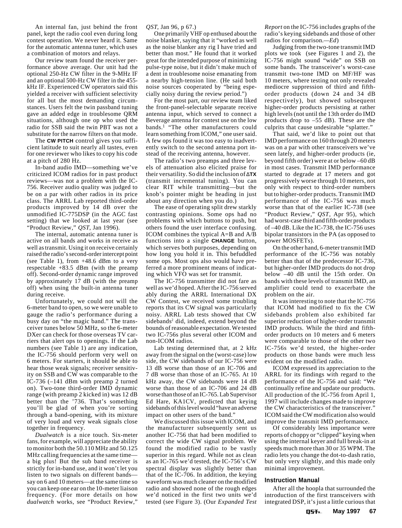An internal fan, just behind the front panel, kept the radio cool even during long contest operation. We never heard it. Same for the automatic antenna tuner, which uses a combination of motors and relays.

Our review team found the receiver performance above average. Our unit had the optional 250-Hz CW filter in the 9-MHz IF and an optional 500-Hz CW filter in the 455 kHz IF. Experienced CW operators said this yielded a receiver with sufficient selectivity for all but the most demanding circumstances. Users felt the twin passband tuning gave an added edge in troublesome QRM situations, although one op who used the radio for SSB said the twin PBT was not a substitute for the narrow filters on that mode.

The **CW PITCH** control gives you sufficient latitude to suit nearly all tastes, even for one reviewer who likes to copy his code at a pitch of 280 Hz.

In-band audio IMD—something we've criticized ICOM radios for in past product reviews—was not a problem with the IC-756. Receiver audio quality was judged to be on a par with other radios in its price class. The ARRL Lab reported third-order products improved by 14 dB over the unmodified IC-775DSP (in the AGC fast setting) that we looked at last year (see "Product Review," *QST*, Jan 1996).

The internal, automatic antenna tuner is active on all bands and works in receive as well as transmit. Using it on receive certainly raised the radio's second-order intercept point (see Table 1), from +48.6 dBm to a very respectable  $+83.5$  dBm (with the preamp off). Second-order dynamic range improved by approximately 17 dB (with the preamp off) when using the built-in antenna tuner during receive.

Unfortunately, we could not will the 6-meter band to open, so we were unable to gauge the radio's performance during a busy day on "the magic band." The transceiver tunes below 50 MHz, so the 6-meter DXer can check for those overseas TV carriers that alert ops to openings. If the Lab numbers (see Table 1) are any indication, the IC-756 should perform very well on 6 meters. For starters, it should be able to hear those weak signals; receiver sensitivity on SSB and CW was comparable to the IC-736 (–141 dBm with preamp 2 turned on). Two-tone third-order IMD dynamic range (with preamp 2 kicked in) was 12 dB better than the '736. That's something you'll be glad of when you're sorting through a band-opening, with its mixture of very loud and very weak signals close together in frequency.

*Dualwatch* is a nice touch. Six-meter fans, for example, will appreciate the ability to monitor both the 50.110 MHz and 50.125 MHz calling frequencies at the same time a big plus! But the sub band receiver is strictly for in-band use, and it won't let you listen to two signals on different bands say on 6 and 10 meters—at the same time so you can keep one ear on the 10-meter liaison frequency. (For more details on how *dualwatch* works, see "Product Review,"

*QST*, Jan 96, p 67.)

One primarily VHF op enthused about the noise blanker, saying that it "worked as well as the noise blanker any rig I have tried and better than most." He found that it worked great for the intended purpose of minimizing pulse-type noise, but it didn't make much of a dent in troublesome noise emanating from a nearby high-tension line. (He said both noise sources cooperated by "being especially noisy during the review period.")

For the most part, our review team liked the front-panel-selectable separate receive antenna input, which served to connect a Beverage antenna for contest use on the low bands.1 "The other manufacturers could learn something from ICOM," one user said. A few ops found it was too easy to inadvertently switch to the second antenna port instead of the receiving antenna, however.

The radio's two preamps and three levels of attenuation also elicited praise for their versatility. So did the inclusion of ∆**TX** (transmit incremental tuning). You can clear RIT while transmitting—but the knob's pointer might be heading in just about any direction when you do.)

The ease of operating split drew starkly contrasting opinions. Some ops had no problems with which buttons to push, but others found the user interface confusing. ICOM combines the typical A=B and A/B functions into a single **CHANGE** button, which serves both purposes, depending on how long you hold it in. This befuddled some ops. Most ops also would have preferred a more prominent means of indicating which VFO was set for transmit.

The IC-756 transmitter did not fare as well as we'd hoped. After the IC-756 served ably during the ARRL International DX CW Contest, we received some troubling reports that its CW signal was particularly noisy. ARRL Lab tests showed that CW sidebands<sup>2</sup> did, indeed, extend beyond the bounds of reasonable expectation. We tested two IC-756s plus several other ICOM and non-ICOM radios.

Lab testing determined that, at 2 kHz away from the signal on the (worst-case) low side, the CW sidebands of our IC-756 were 13 dB worse than those of an IC-706 and 7 dB worse than those of an IC-765. At 10 kHz away, the CW sidebands were 14 dB worse than those of an IC-706 and 24 dB worse than those of an IC-765. Lab Supervisor Ed Hare, KA1CV, predicted that keying sidebands of this level would "have an adverse impact on other users of the band."

We discussed this issue with ICOM, and the manufacturer subsequently sent us another IC-756 that had been modified to correct the wide CW signal problem. We found the modified radio to be vastly superior in this regard. While not as clean as an IC-765 we'd tested, the IC-756's CW spectral display was slightly better than that of the IC-706. In addition, the keying waveform was much cleaner on the modified radio and showed none of the rough edges we'd noticed in the first two units we'd tested (see Figure 3). (Our *Expanded Test*

*Report* on the IC-756 includes graphs of the radio's keying sidebands and those of other radios for comparison.*—Ed*)

Judging from the two-tone transmit IMD plots we took (see Figures 1 and 2), the IC-756 might sound "wide" on SSB on some bands. The transceiver's worst-case transmit two-tone IMD on MF/HF was 10 meters, where testing not only revealed mediocre suppression of third and fifthorder products (down 24 and 34 dB respectively), but showed subsequent higher-order products persisting at rather high levels (not until the 13th order do IMD products drop to –55 dB). These are the culprits that cause undesirable "splatter."

That said, we'd like to point out that IMD performance on 160 through 20 meters was on a par with other transceivers we've seen lately, and higher-order products (ie, beyond fifth order) were at or below –60 dB in most cases. Transmit IMD performance started to degrade at 17 meters and got progressively worse through 10 meters, not only with respect to third-order numbers but to higher-order products. Transmit IMD performance of the IC-756 was much worse than that of the earlier IC-738 (see "Product Review," *QST*, Apr 95), which had worst-case third and fifth-order products of –40 dB. Like the IC-738, the IC-756 uses bipolar transistors in the PA (as opposed to power MOSFETs).

On the other hand, 6-meter transmit IMD performance of the IC-756 was notably better than that of the predecessor IC-736, but higher-order IMD products do not drop below –40 dB until the 15th order. On bands with these levels of transmit IMD, an amplifier could tend to exacerbate the problem on the air.

It was interesting to note that the IC-756 that ICOM had modified to fix the CW sidebands problem also exhibited far superior reduction of higher-order transmit IMD products. While the third and fifthorder products on 10 meters and 6 meters were comparable to those of the other two IC-756s we'd tested, the higher-order products on those bands were much less evident on the modified radio.

ICOM expressed its appreciation to the ARRL for its findings with regard to the performance of the IC-756 and said: "We continually refine and update our products. All production of the IC-756 from April 1, 1997 will include changes made to improve the CW characteristics of the transceiver. ICOM said the CW modification also would improve the transmit IMD performance.

Of considerably less importance were reports of choppy or "clipped" keying when using the internal keyer and full break-in at speeds much more than 30 or 35 WPM. The radio lets you change the dot-to-dash ratio, but only very slightly, and this made only minimal improvement.

## **Instruction Manual**

After all the hoopla that surrounded the introduction of the first transceivers with integrated DSP, it's just a little curious that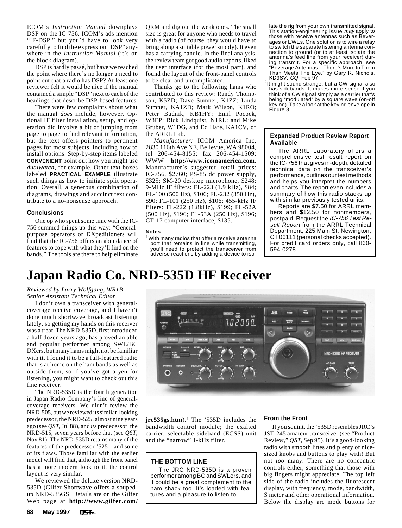<span id="page-6-0"></span>ICOM's *Instruction Manual* downplays DSP on the IC-756. ICOM's ads mention "IF-DSP," but you'd have to look very carefully to find the expression "DSP" anywhere in the *Instruction Manual* (it's on the block diagram).

DSP is hardly passé, but have we reached the point where there's no longer a need to point out that a radio has DSP? At least one reviewer felt it would be nice if the manual contained a simple "DSP" next to each of the headings that describe DSP-based features.

There were few complaints about what the manual *does* include, however. Optional IF filter installation, setup, and operation did involve a bit of jumping from page to page to find relevant information, but the text offers pointers to pertinent pages for most subjects, including how to install options. Step-by-step items labeled **CONVENIENT** point out how you might use *dualwatch*, for example. Other text boxes labeled **PRACTICAL EXAMPLE** illustrate such things as how to initiate split operation. Overall, a generous combination of diagrams, drawings and succinct text contribute to a no-nonsense approach.

#### **Conclusions**

One op who spent some time with the IC-756 summed things up this way: "Generalpurpose operators or DXpeditioners will find that the IC-756 offers an abundance of features to cope with what they'll find on the bands." The tools are there to help eliminate

QRM and dig out the weak ones. The small size is great for anyone who needs to travel with a radio (of course, they would have to bring along a suitable power supply). It even has a carrying handle. In the final analysis, the review team got good audio reports, liked the user interface (for the most part), and found the layout of the front-panel controls to be clear and uncomplicated.

Thanks go to the following hams who contributed to this review: Randy Thompson, K5ZD; Dave Sumner, K1ZZ; Linda Sumner, KA1ZD; Mark Wilson, K1RO; Peter Budnik, KB1HY; Emil Pocock, W3EP; Rick Lindquist, N1RL; and Mike Gruber, W1DG, and Ed Hare, KA1CV, of the ARRL Lab.

*Manufacturer:* ICOM America Inc, 2830 116th Ave NE, Bellevue, WA 98004, tel 206-454-8155; fax 206-454-1509; WWW **http://www.icomamerica.com**. Manufacturer's suggested retail prices: IC-756, \$2760; PS-85 dc power supply, \$325; SM-20 desktop microphone, \$248; 9-MHz IF filters: FL-223 (1.9 kHz), \$84; FL-100 (500 Hz), \$106; FL-232 (350 Hz), \$90; FL-101 (250 Hz), \$106; 455-kHz IF filters: FL-222 (1.8kHz), \$199; FL-52A (500 Hz), \$196; FL-53A (250 Hz), \$196; CT-17 computer interface, \$135.

#### **Notes**

<sup>1</sup> With many radios that offer a receive antenna port that remains in line while transmitting, you'll need to protect the transceiver from adverse reactions by adding a device to iso-

**Addit Till** 

late the rig from your own transmitted signal. This station-engineering issue may apply to those with receive antennas such as Beverages or EWEs. One solution is to wire a relay to switch the separate listening antenna connection to ground (or to at least isolate the antenna's feed line from your receiver) dur-ing transmit. For a specific approach, see "Beverage Antennas—There's More to Them Than Meets The Eye," by Gary R. Nichols,

 $2$ It might sound strange, but a CW signal also has sidebands. It makes more sense if you think of a CW signal simply as a carrier that's being "modulated" by a square wave (on-off keying). Take a look at the keying envelope in Figure 3.

## **Expanded Product Review Report Available**

The ARRL Laboratory offers a comprehensive test result report on the IC-756 that gives in-depth, detailed technical data on the transceiver's performance, outlines our test methods and helps you interpret the numbers and charts. The report even includes a summary of how this radio stacks up with similar previously tested units.

Reports are \$7.50 for ARRL members and \$12.50 for nonmembers, postpaid. Request the IC-756 Test Result Report from the ARRL Technical Department, 225 Main St, Newington, CT 06111 (personal checks accepted). For credit card orders only, call 860- 594-0278.

## **Japan Radio Co. NRD-535D HF Receiver**

## *Reviewed by Larry Wolfgang, WR1B Senior Assistant Technical Editor*

I don't own a transceiver with generalcoverage receive coverage, and I haven't done much shortwave broadcast listening lately, so getting my hands on this receiver was a treat. The NRD-535D, first introduced a half dozen years ago, has proved an able and popular performer among SWL/BC DXers, but many hams might not be familiar with it. I found it to be a full-featured radio that is at home on the ham bands as well as outside them, so if you've got a yen for listening, you might want to check out this fine receiver.

The NRD-535D is the fourth generation in Japan Radio Company's line of generalcoverage receivers. We didn't review the NRD-505, but we reviewed its similar-looking predecessor, the NRD-525, almost nine years ago (see *QST*, Jul 88), and *its* predecessor, the NRD-515, seven years before that (see *QST*, Nov 81). The NRD-535D retains many of the features of the predecessor '525—and some of its flaws. Those familiar with the earlier model will find that, although the front panel has a more modern look to it, the control layout is very similar.

We reviewed the deluxe version NRD-535D (Gilfer Shortwave offers a soupedup NRD-535GS. Details are on the Gilfer Web page at **http://www.gilfer.com/**



10 2 0.0 O**.** 

WIDT

AGO  $\overline{\phantom{0}}$ 

**THE BOTTOM LINE**

The JRC NRD-535D is a proven performer among BC and SWLers, and it could be a great complement to the ham shack too. It's loaded with features and a pleasure to listen to.

JST-245 amateur transceiver (see "Product Review," *QST*, Sep 95). It's a good-looking radio with smooth lines and plenty of nicesized knobs and buttons to play with! But not *too* many. There are no concentric controls either, something that those with big fingers might appreciate. The top left side of the radio includes the fluorescent display, with frequency, mode, bandwidth, S meter and other operational information. Below the display are mode buttons for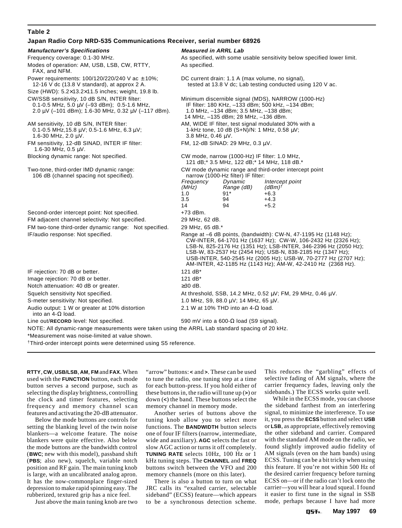## **Table 2**

## **Japan Radio Corp NRD-535 Communications Receiver, serial number 68926**

| <b>Manufacturer's Specifications</b>                                                                                                                             | <b>Measured in ARRL Lab</b>                                                                                                                                                                                                                                                                                                                                                                         |                                                                                  |                                                                                                                     |
|------------------------------------------------------------------------------------------------------------------------------------------------------------------|-----------------------------------------------------------------------------------------------------------------------------------------------------------------------------------------------------------------------------------------------------------------------------------------------------------------------------------------------------------------------------------------------------|----------------------------------------------------------------------------------|---------------------------------------------------------------------------------------------------------------------|
| Frequency coverage: 0.1-30 MHz.                                                                                                                                  | As specified, with some usable sensitivity below specified lower limit.                                                                                                                                                                                                                                                                                                                             |                                                                                  |                                                                                                                     |
| Modes of operation: AM, USB, LSB, CW, RTTY,<br>FAX, and NFM.                                                                                                     | As specified.                                                                                                                                                                                                                                                                                                                                                                                       |                                                                                  |                                                                                                                     |
| Power requirements: $100/120/220/240$ V ac $\pm$ 10%;<br>12-16 V dc $(13.8 V standard)$ , at approx 2 A.                                                         | DC current drain: 1.1 A (max volume, no signal),<br>tested at 13.8 V dc; Lab testing conducted using 120 V ac.                                                                                                                                                                                                                                                                                      |                                                                                  |                                                                                                                     |
| Size (HWD): 5.2×13.2×11.5 inches; weight, 19.8 lb.                                                                                                               |                                                                                                                                                                                                                                                                                                                                                                                                     |                                                                                  |                                                                                                                     |
| CW/SSB sensitivity, 10 dB S/N, INTER filter:<br>0.1-0.5 MHz, 5.0 $\mu$ V (-93 dBm); 0.5-1.6 MHz,<br>$2.0 \mu$ V (-101 dBm); 1.6-30 MHz, 0.32 $\mu$ V (-117 dBm). | Minimum discernible signal (MDS), NARROW (1000-Hz)<br>IF filter: 180 KHz, -133 dBm; 500 kHz, -134 dBm;<br>1.0 MHz, -134 dBm; 3.5 MHz, -138 dBm;<br>14 MHz, -135 dBm; 28 MHz, -136 dBm.                                                                                                                                                                                                              |                                                                                  |                                                                                                                     |
| AM sensitivity, 10 dB S/N, INTER filter:<br>$0.1 - 0.5$ MHz, 15.8 $\mu$ V; 0.5-1.6 MHz, 6.3 $\mu$ V;<br>1.6-30 MHz, $2.0 \mu V$ .                                | AM, WIDE IF filter, test signal modulated 30% with a<br>1-kHz tone, 10 dB $(S+N)/N$ : 1 MHz, 0.58 $\mu$ V;<br>3.8 MHz, 0.46 µV.                                                                                                                                                                                                                                                                     |                                                                                  |                                                                                                                     |
| FM sensitivity, 12-dB SINAD, INTER IF filter:<br>1.6-30 MHz, $0.5 \mu V$ .                                                                                       | FM, 12-dB SINAD: 29 MHz, 0.3 μV.                                                                                                                                                                                                                                                                                                                                                                    |                                                                                  |                                                                                                                     |
| Blocking dynamic range: Not specified.                                                                                                                           | CW mode, narrow (1000-Hz) IF filter: 1.0 MHz,<br>121 dB;* 3.5 MHz, 122 dB;* 14 MHz, 118 dB.*                                                                                                                                                                                                                                                                                                        |                                                                                  |                                                                                                                     |
| Two-tone, third-order IMD dynamic range:<br>106 dB (channel spacing not specified).                                                                              | Frequency<br>(MHz)<br>1.0<br>3.5<br>14                                                                                                                                                                                                                                                                                                                                                              | narrow (1000-Hz filter) IF filter:<br>Dynamic<br>Range (dB)<br>$91*$<br>94<br>94 | CW mode dynamic range and third-order intercept point<br>Intercept point<br>$(dBm)$ †<br>$+6.3$<br>$+4.3$<br>$+5.2$ |
| Second-order intercept point: Not specified.                                                                                                                     | +73 dBm.                                                                                                                                                                                                                                                                                                                                                                                            |                                                                                  |                                                                                                                     |
| FM adjacent channel selectivity: Not specified.                                                                                                                  | 29 MHz, 62 dB.                                                                                                                                                                                                                                                                                                                                                                                      |                                                                                  |                                                                                                                     |
| FM two-tone third-order dynamic range: Not specified.                                                                                                            | 29 MHz, 65 dB.*                                                                                                                                                                                                                                                                                                                                                                                     |                                                                                  |                                                                                                                     |
| IF/audio response: Not specified.                                                                                                                                | Range at $-6$ dB points, (bandwidth): CW-N, 47-1195 Hz (1148 Hz);<br>CW-INTER, 64-1701 Hz (1637 Hz); CW-W, 106-2432 Hz (2326 Hz);<br>LSB-N, 825-2176 Hz (1351 Hz); LSB-INTER, 346-2396 Hz (2050 Hz);<br>LSB-W, 83-2537 Hz (2454 Hz); USB-N, 838-2185 Hz (1347 Hz);<br>USB-INTER, 540-2545 Hz (2005 Hz); USB-W, 70-2777 Hz (2707 Hz);<br>AM-INTER, 42-1185 Hz (1143 Hz); AM-W, 42-2410 Hz (2368 Hz). |                                                                                  |                                                                                                                     |
| IF rejection: 70 dB or better.                                                                                                                                   | 121 dB*                                                                                                                                                                                                                                                                                                                                                                                             |                                                                                  |                                                                                                                     |
| Image rejection: 70 dB or better.                                                                                                                                | 121 $dB^*$                                                                                                                                                                                                                                                                                                                                                                                          |                                                                                  |                                                                                                                     |
| Notch attenuation: 40 dB or greater.                                                                                                                             | $\geq$ 30 dB.                                                                                                                                                                                                                                                                                                                                                                                       |                                                                                  |                                                                                                                     |
| Squelch sensitivity Not specified.                                                                                                                               | At threshold, SSB, 14.2 MHz, 0.52 μV; FM, 29 MHz, 0.46 μV.                                                                                                                                                                                                                                                                                                                                          |                                                                                  |                                                                                                                     |
| S-meter sensitivity: Not specified.                                                                                                                              | 1.0 MHz, S9, 88.0 $\mu$ V; 14 MHz, 65 $\mu$ V.                                                                                                                                                                                                                                                                                                                                                      |                                                                                  |                                                                                                                     |
| Audio output: 1 W or greater at 10% distortion<br>into an $4-\Omega$ load.                                                                                       | 2.1 W at 10% THD into an 4- $\Omega$ load.                                                                                                                                                                                                                                                                                                                                                          |                                                                                  |                                                                                                                     |
| Line out/RECORD level: Not specified.                                                                                                                            | 590 mV into a 600- $\Omega$ load (S9 signal).                                                                                                                                                                                                                                                                                                                                                       |                                                                                  |                                                                                                                     |
| NOTE: All dynamic-range measurements were taken using the ARRL Lab standard spacing of 20 kHz.                                                                   |                                                                                                                                                                                                                                                                                                                                                                                                     |                                                                                  |                                                                                                                     |
| *Measurement was noise-limited at value shown.                                                                                                                   |                                                                                                                                                                                                                                                                                                                                                                                                     |                                                                                  |                                                                                                                     |
| <sup>†</sup> Third-order intercept points were determined using S5 reference.                                                                                    |                                                                                                                                                                                                                                                                                                                                                                                                     |                                                                                  |                                                                                                                     |

**RTTY**, **CW**, **USB/LSB**, **AM**, **FM** and **FAX**. When used with the **FUNCTION** button, each mode button serves a second purpose, such as selecting the display brightness, controlling the clock and timer features, selecting frequency and memory channel scan features and activating the 20-dB attenuator.

Below the mode buttons are controls for setting the blanking level of the twin noise blankers—a welcome feature. The noise blankers were quite effective. Also below the mode buttons are the bandwidth control (**BWC**; new with this model), passband shift (**PBS**; also new), squelch, variable notch position and RF gain. The main tuning knob is large, with an uncalibrated analog apron. It has the now-commonplace finger-sized depression to make rapid spinning easy. The rubberized, textured grip has a nice feel.

Just above the main tuning knob are two

"arrow" buttons: **<** and **>**. These can be used to tune the radio, one tuning step at a time for each button-press. If you hold either of these buttons in, the radio will tune up (**>**) or down (**<**) the band. These buttons select the memory channel in memory mode.

Another series of buttons above the tuning knob allow you to select more functions. The **BANDWIDTH** button selects one of four IF filters (narrow, intermediate, wide and auxiliary). **AGC** selects the fast or slow AGC action or turns it off completely. **TUNING RATE** selects 10Hz, 100 Hz or 1 kHz tuning steps. The **CHANNEL** and **FREQ** buttons switch between the VFO and 200 memory channels (more on this later).

There is also a button to turn on what JRC calls its "exalted carrier, selectable sideband" (ECSS) feature—which appears to be a synchronous detection scheme. This reduces the "garbling" effects of selective fading of AM signals, where the carrier frequency fades, leaving only the sidebands.) The ECSS works quite well.

While in the ECSS mode, you can choose the sideband farthest from an interfering signal, to minimize the interference. To use it, you press the **ECSS** button and select **USB** or **LSB**, as appropriate, effectively removing the other sideband and carrier. Compared with the standard AM mode on the radio, we found slightly improved audio fidelity of AM signals (even on the ham bands) using ECSS. Tuning can be a bit tricky when using this feature. If you're not within 500 Hz of the desired carrier frequency before turning ECSS on—or if the radio can't lock onto the carrier—you will hear a loud squeal. I found it easier to first tune in the signal in SSB mode, perhaps because I have had more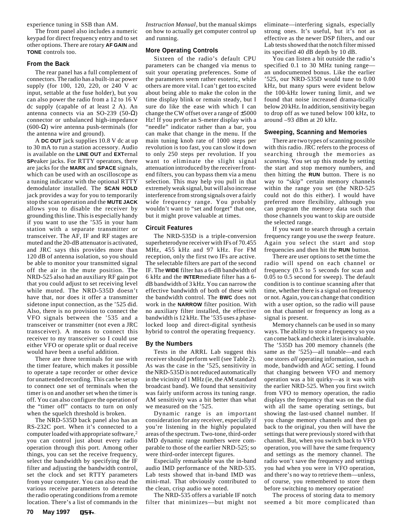experience tuning in SSB than AM.

The front panel also includes a numeric keypad for direct frequency entry and to set other options. There are rotary **AF GAIN** and **TONE** controls too.

#### **From the Back**

The rear panel has a full complement of connectors. The radio has a built-in ac power supply (for 100, 120, 220, or 240 V ac input, settable at the fuse holder), but you can also power the radio from a 12 to 16 V dc supply (capable of at least 2 A). An antenna connects via an SO-239 (50- $Ω$ ) connector or unbalanced high-impedance (600-Ω) wire antenna push-terminals (for the antenna wire and ground).

A **DC OUT** jack supplies 10.8 V dc at up to 30 mA to run a station accessory. Audio is available on the **LINE OUT** and **EXT**ernal **SP**eaker jacks. For RTTY operators, there are jacks for the **MARK** and **SPACE** signals, which can be used with an oscilloscope as a tuning indicator with the optional RTTY demodulator installed. The **SCAN HOLD** jack provides a way for you to temporarily stop the scan operation and the **MUTE JACK** allows you to disable the receiver by grounding this line. This is especially handy if you want to use the '535 in your ham station with a separate transmitter or transceiver. The AF, IF and RF stages are muted and the 20-dB attenuator is activated, and JRC says this provides more than 120 dB of antenna isolation, so you should be able to monitor your transmitted signal off the air in the mute position. The NRD-525 also had an auxiliary RF gain pot that you could adjust to set receiving level while muted. The NRD-535D doesn't have that, nor does it offer a transmitter sidetone input connection, as the '525 did. Also, there is no provision to connect the VFO signals between the '535 and a transceiver or transmitter (not even a JRC transceiver). A means to connect this receiver to my transceiver so I could use either VFO or operate split or dual receive would have been a useful addition.

There are three terminals for use with the timer feature, which makes it possible to operate a tape recorder or other device for unattended recording. This can be set up to connect one set of terminals when the timer is on and another set when the timer is off. You can also configure the operation of the "timer off" contacts to turn on only when the squelch threshold is broken.

The NRD-535D back panel also has an RS-232C port. When it's connected to a computer loaded with appropriate software,2 you can control just about every radio operation through this port. Among other things, you can set the receive frequency, select the bandwidth by specifying the IF filter and adjusting the bandwidth control, set the clock and set RTTY parameters from your computer. You can also read the various receive parameters to determine the radio operating conditions from a remote location. There's a list of commands in the *Instruction Manual*, but the manual skimps on how to actually get computer control up and running.

## **More Operating Controls**

Sixteen of the radio's default CPU parameters can be changed via menus to suit your operating preferences. Some of the parameters seem rather esoteric, while others are more vital. I can't get too excited about being able to make the colon in the time display blink or remain steady, but I sure do like the ease with which I can change the CW offset over a range of ±5000 Hz! If you prefer an S-meter display with a "needle" indicator rather than a bar, you can make that change in the menu. If the main tuning knob rate of 1000 steps per revolution is too fast, you can slow it down to only 250 steps per revolution. If you want to eliminate the slight signal attenuation introduced by the receiver frontend filters, you can bypass them via a menu selection. This may help you pull in that extremely weak signal, but will also increase interference from strong signals over a fairly wide frequency range. You probably wouldn't want to "set and forget" that one, but it might prove valuable at times.

## **Circuit Features**

The NRD-535D is a triple-conversion superheterodyne receiver with IFs of 70.455 MHz, 455 kHz and 97 kHz. For FM reception, only the first two IFs are active. The selectable filters are part of the second IF. The **WIDE** filter has a 6-dB bandwidth of 6 kHz and the **INTER**mediate filter has a 6 dB bandwidth of 3 kHz. You can narrow the effective bandwidth of both of these with the bandwidth control. The **BWC** does not work in the **NARROW** filter position. With no auxiliary filter installed, the effective bandwidth is 12 kHz. The '535 uses a phaselocked loop and direct-digital synthesis hybrid to control the operating frequency.

## **By the Numbers**

Tests in the ARRL Lab suggest this receiver should perform well (see Table 2). As was the case in the '525, sensitivity in the NRD-535D is not reduced automatically in the vicinity of 1 MHz (ie, the AM standard broadcast band). We found that sensitivity was fairly uniform across its tuning range. AM sensitivity was a bit better than what we measured on the '525.

Dynamic range is an important consideration for any receiver, especially if you're listening in the highly populated areas of the spectrum. Two-tone, third-order IMD dynamic range numbers were comparable to those of the earlier NRD-525; so were third-order intercept figures.

Especially remarkable was the in-band audio IMD performance of the NRD-535. Lab tests showed that in-band IMD was mini-mal. That obviously contributed to the clean, crisp audio we noted.

The NRD-535 offers a variable IF notch filter that minimizes—but might not eliminate—interfering signals, especially strong ones. It's useful, but it's not as effective as the newer DSP filters, and our Lab tests showed that the notch filter missed its specified 40 dB depth by 10 dB.

You can listen a bit outside the radio's specified 0.1 to 30 MHz tuning range an undocumented bonus. Like the earlier '525, our NRD-535D would tune to 0.00 kHz, but many spurs were evident below the 100-kHz lower tuning limit, and we found that noise increased drama-tically below 20 kHz. In addition, sensitivity began to drop off as we tuned below 100 kHz, to around –93 dBm at 20 kHz.

## **Sweeping, Scanning and Memories**

There are two types of scanning possible with this radio. JRC refers to the process of searching through the memories as *scanning*. You set up this mode by setting the start and stop memory numbers, and then hitting the **RUN** button. There is no way to "skip" certain memory channels within the range you set (the NRD-525 could not do this either). I would have preferred more flexibility, although you can program the memory data such that those channels you want to skip are outside the selected range.

If you want to search through a certain frequency range you use the *sweep* feature. Again you select the start and stop frequencies and then hit the **RUN** button.

There are user options to set the time the radio will spend on each channel or frequency (0.5 to 5 seconds for scan and 0.05 to 0.5 second for sweep). The default condition is to continue scanning after that time, whether there is a signal on frequency or not. Again, you can change that condition with a user option, so the radio will pause on that channel or frequency as long as a signal is present.

Memory channels can be used in so many ways. The ability to store a frequency so you can come back and check it later is invaluable. The '535D has 200 memory channels (the same as the '525)—all tunable—and each one stores *all* operating information, such as mode, bandwidth and AGC setting. I found that changing between VFO and memory operation was a bit quirky—as it was with the earlier NRD-525. When you first switch from VFO to memory operation, the radio displays the frequency that was on the dial with all the same operating settings, but showing the last-used channel number. If you change memory channels and then go back to the original, you then will have the settings that were previously stored with that channel. But, when you switch back to VFO operation, you will have the same frequency and settings as the memory channel. The radio won't save the frequency and settings you had when you were in VFO operation, and there's no way to retrieve them—unless, of course, you remembered to store them before switching to memory operation!

The process of storing data to memory seemed a bit more complicated than